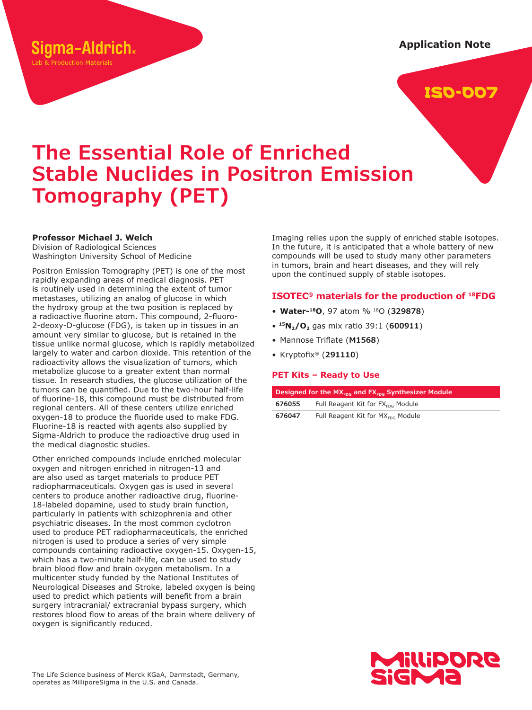## Sigma-Aldrich.

Lab & Production Materials

**Application Note**

## ISO-007

# **The Essential Role of Enriched Stable Nuclides in Positron Emission Tomography (PET)**

#### **Professor Michael J. Welch**

Division of Radiological Sciences Washington University School of Medicine

Positron Emission Tomography (PET) is one of the most rapidly expanding areas of medical diagnosis. PET is routinely used in determining the extent of tumor metastases, utilizing an analog of glucose in which the hydroxy group at the two position is replaced by a radioactive fluorine atom. This compound, 2-fluoro-2-deoxy-D-glucose (FDG), is taken up in tissues in an amount very similar to glucose, but is retained in the tissue unlike normal glucose, which is rapidly metabolized largely to water and carbon dioxide. This retention of the radioactivity allows the visualization of tumors, which metabolize glucose to a greater extent than normal tissue. In research studies, the glucose utilization of the tumors can be quantified. Due to the two-hour half-life of fluorine-18, this compound must be distributed from regional centers. All of these centers utilize enriched oxygen-18 to produce the fluoride used to make FDG. Fluorine-18 is reacted with agents also supplied by Sigma-Aldrich to produce the radioactive drug used in the medical diagnostic studies.

Other enriched compounds include enriched molecular oxygen and nitrogen enriched in nitrogen-13 and are also used as target materials to produce PET radiopharmaceuticals. Oxygen gas is used in several centers to produce another radioactive drug, fluorine-18-labeled dopamine, used to study brain function, particularly in patients with schizophrenia and other psychiatric diseases. In the most common cyclotron used to produce PET radiopharmaceuticals, the enriched nitrogen is used to produce a series of very simple compounds containing radioactive oxygen-15. Oxygen-15, which has a two-minute half-life, can be used to study brain blood flow and brain oxygen metabolism. In a multicenter study funded by the National Institutes of Neurological Diseases and Stroke, labeled oxygen is being used to predict which patients will benefit from a brain surgery intracranial/ extracranial bypass surgery, which restores blood flow to areas of the brain where delivery of oxygen is significantly reduced.

Imaging relies upon the supply of enriched stable isotopes. In the future, it is anticipated that a whole battery of new compounds will be used to study many other parameters in tumors, brain and heart diseases, and they will rely upon the continued supply of stable isotopes.

#### **ISOTEC® materials for the production of <sup>18</sup>FDG**

- **Water-<sup>18</sup>O**, 97 atom % <sup>18</sup>O (**329878**)
- **<sup>15</sup>N2/O2** gas mix ratio 39:1 (**600911**)
- Mannose Triflate (**M1568**)
- Kryptofix® (**291110**)

#### **PET Kits – Ready to Use**

| Designed for the $MX_{\text{FDS}}$ and $FX_{\text{FDS}}$ Synthesizer Module |                                               |  |  |  |
|-----------------------------------------------------------------------------|-----------------------------------------------|--|--|--|
| 676055                                                                      | Full Reagent Kit for FX <sub>FDC</sub> Module |  |  |  |
| 676047                                                                      | Full Reagent Kit for MX <sub>FDG</sub> Module |  |  |  |

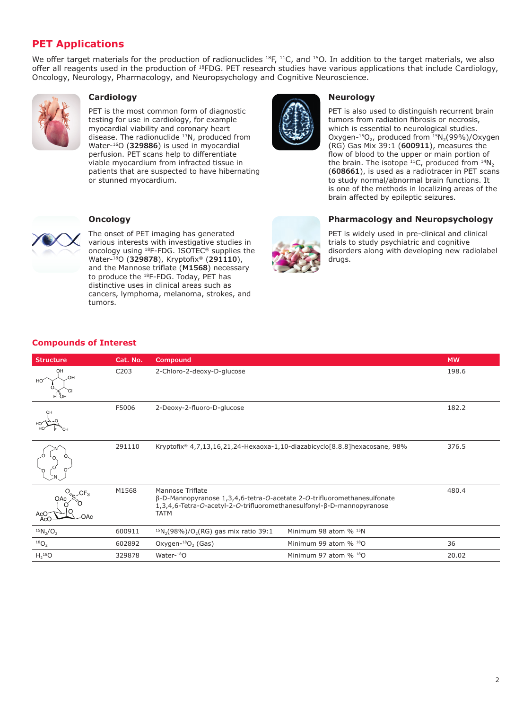### **PET Applications**

We offer target materials for the production of radionuclides  $^{18}F$ ,  $^{11}C$ , and  $^{15}O$ . In addition to the target materials, we also offer all reagents used in the production of <sup>18</sup>FDG. PET research studies have various applications that include Cardiology, Oncology, Neurology, Pharmacology, and Neuropsychology and Cognitive Neuroscience.



#### **Cardiology**

PET is the most common form of diagnostic testing for use in cardiology, for example myocardial viability and coronary heart disease. The radionuclide <sup>13</sup>N, produced from Water-<sup>16</sup>O (**329886**) is used in myocardial perfusion. PET scans help to differentiate viable myocardium from infracted tissue in patients that are suspected to have hibernating or stunned myocardium.



#### **Neurology**

PET is also used to distinguish recurrent brain tumors from radiation fibrosis or necrosis, which is essential to neurological studies. Oxygen- $^{15}O_2$ , produced from  $^{15}N_2(99\%)$ /Oxygen (RG) Gas Mix 39:1 (**600911**), measures the flow of blood to the upper or main portion of the brain. The isotope  $^{11}C$ , produced from  $^{14}N_2$ (**608661**), is used as a radiotracer in PET scans to study normal/abnormal brain functions. It is one of the methods in localizing areas of the brain affected by epileptic seizures.



#### **Oncology**

The onset of PET imaging has generated various interests with investigative studies in oncology using <sup>18</sup>F-FDG. ISOTEC® supplies the Water-<sup>18</sup>O (**329878**), Kryptofix® (**291110**), and the Mannose triflate (**M1568**) necessary to produce the <sup>18</sup>F-FDG. Today, PET has distinctive uses in clinical areas such as cancers, lymphoma, melanoma, strokes, and tumors.



#### **Pharmacology and Neuropsychology**

PET is widely used in pre-clinical and clinical trials to study psychiatric and cognitive disorders along with developing new radiolabel drugs.

#### **Compounds of Interest**

| <b>Structure</b>   | Cat. No.         | Compound                                                                                                                                                                                   | <b>MW</b>                            |       |
|--------------------|------------------|--------------------------------------------------------------------------------------------------------------------------------------------------------------------------------------------|--------------------------------------|-------|
| OH<br>OH           | C <sub>203</sub> | 2-Chloro-2-deoxy-D-glucose                                                                                                                                                                 | 198.6                                |       |
|                    | F5006            | 2-Deoxy-2-fluoro-D-glucose                                                                                                                                                                 |                                      | 182.2 |
|                    | 291110           | Kryptofix® 4,7,13,16,21,24-Hexaoxa-1,10-diazabicyclo[8.8.8] hexacosane, 98%                                                                                                                |                                      | 376.5 |
| AcC<br>OAc         | M1568            | Mannose Triflate<br>$\beta$ -D-Mannopyranose 1,3,4,6-tetra-O-acetate 2-O-trifluoromethanesulfonate<br>1,3,4,6-Tetra-O-acetyl-2-O-trifluoromethanesulfonyl-ß-D-mannopyranose<br><b>TATM</b> |                                      | 480.4 |
| $^{15}N_{2}/O_{2}$ | 600911           | $15N_2(98\%)/O_2(RG)$ gas mix ratio 39:1                                                                                                                                                   | Minimum 98 atom % 15N                |       |
| $^{18}O_2$         | 602892           | Oxygen- $^{18}O2$ (Gas)                                                                                                                                                                    | Minimum 99 atom % 180                | 36    |
| $H_2^{18}O$        | 329878           | Water-18O                                                                                                                                                                                  | Minimum 97 atom $\%$ <sup>18</sup> O | 20.02 |